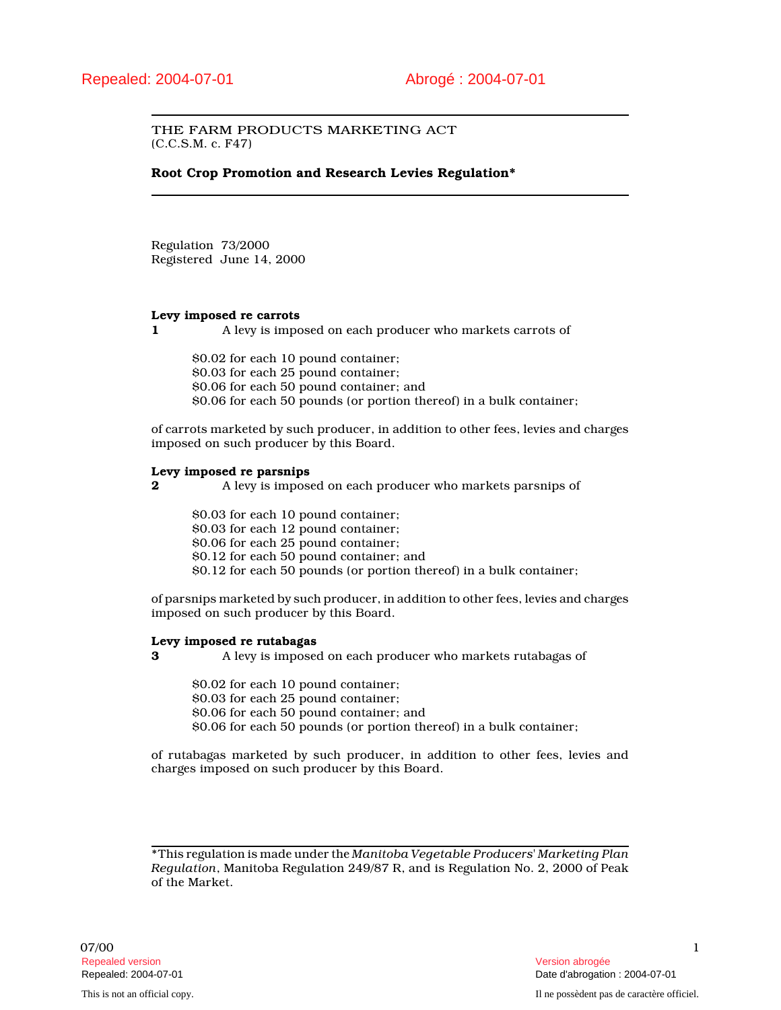## THE FARM PRODUCTS MARKETING ACT (C.C.S.M. c. F47)

**Root Crop Promotion and Research Levies Regulation\***

Regulation 73/2000 Registered June 14, 2000

## **Levy imposed re carrots**

**1** A levy is imposed on each producer who markets carrots of

\$0.02 for each 10 pound container; \$0.03 for each 25 pound container; \$0.06 for each 50 pound container; and \$0.06 for each 50 pounds (or portion thereof) in a bulk container;

of carrots marketed by such producer, in addition to other fees, levies and charges imposed on such producer by this Board.

#### **Levy imposed re parsnips**

**2** A levy is imposed on each producer who markets parsnips of

\$0.03 for each 10 pound container;

\$0.03 for each 12 pound container;

\$0.06 for each 25 pound container;

\$0.12 for each 50 pound container; and

\$0.12 for each 50 pounds (or portion thereof) in a bulk container;

of parsnips marketed by such producer, in addition to other fees, levies and charges imposed on such producer by this Board.

## **Levy imposed re rutabagas**

**3** A levy is imposed on each producer who markets rutabagas of

\$0.02 for each 10 pound container;

\$0.03 for each 25 pound container;

\$0.06 for each 50 pound container; and

\$0.06 for each 50 pounds (or portion thereof) in a bulk container;

of rutabagas marketed by such producer, in addition to other fees, levies and charges imposed on such producer by this Board.

\*This regulation is made under the *Manitoba Vegetable Producers' Marketing Plan Regulation*, Manitoba Regulation 249/87 R, and is Regulation No. 2, 2000 of Peak of the Market.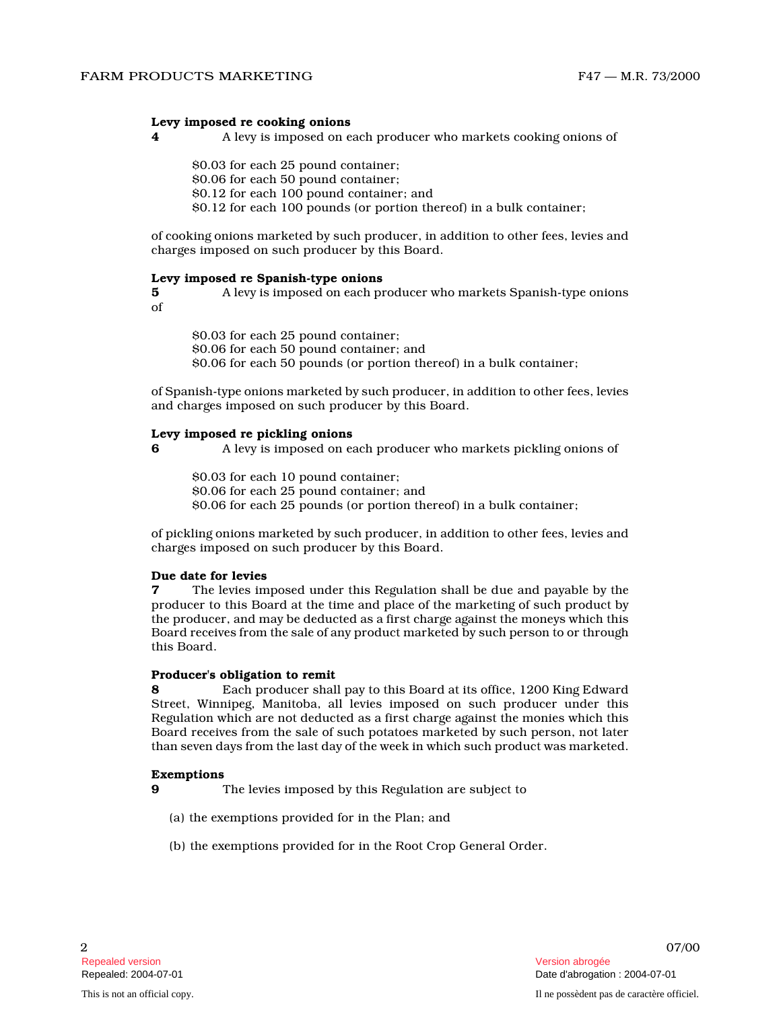### **Levy imposed re cooking onions**

**4** A levy is imposed on each producer who markets cooking onions of

\$0.03 for each 25 pound container; \$0.06 for each 50 pound container; \$0.12 for each 100 pound container; and \$0.12 for each 100 pounds (or portion thereof) in a bulk container;

of cooking onions marketed by such producer, in addition to other fees, levies and charges imposed on such producer by this Board.

#### **Levy imposed re Spanish-type onions**

**5** A levy is imposed on each producer who markets Spanish-type onions of

\$0.03 for each 25 pound container; \$0.06 for each 50 pound container; and \$0.06 for each 50 pounds (or portion thereof) in a bulk container;

of Spanish-type onions marketed by such producer, in addition to other fees, levies and charges imposed on such producer by this Board.

#### **Levy imposed re pickling onions**

**6** A levy is imposed on each producer who markets pickling onions of

\$0.03 for each 10 pound container; \$0.06 for each 25 pound container; and \$0.06 for each 25 pounds (or portion thereof) in a bulk container;

of pickling onions marketed by such producer, in addition to other fees, levies and charges imposed on such producer by this Board.

## **Due date for levies**

**7** The levies imposed under this Regulation shall be due and payable by the producer to this Board at the time and place of the marketing of such product by the producer, and may be deducted as a first charge against the moneys which this Board receives from the sale of any product marketed by such person to or through this Board.

#### **Producer's obligation to remit**

**8** Each producer shall pay to this Board at its office, 1200 King Edward Street, Winnipeg, Manitoba, all levies imposed on such producer under this Regulation which are not deducted as a first charge against the monies which this Board receives from the sale of such potatoes marketed by such person, not later than seven days from the last day of the week in which such product was marketed.

## **Exemptions**

**9** The levies imposed by this Regulation are subject t o

- (a) the exemptions provided for in the Plan; and
- (b) the exemptions provided for in the Root Crop General Order.